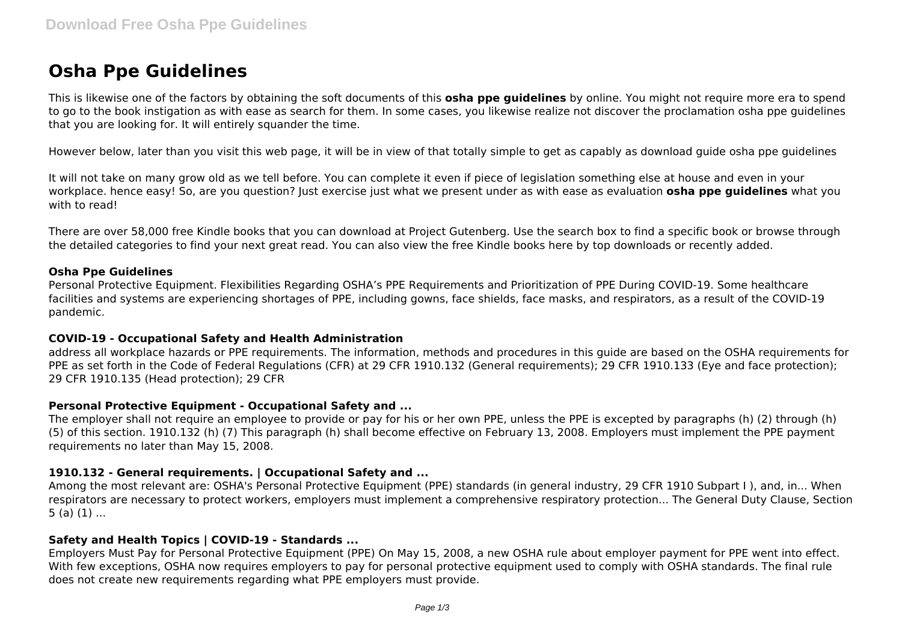# **Osha Ppe Guidelines**

This is likewise one of the factors by obtaining the soft documents of this **osha ppe guidelines** by online. You might not require more era to spend to go to the book instigation as with ease as search for them. In some cases, you likewise realize not discover the proclamation osha ppe guidelines that you are looking for. It will entirely squander the time.

However below, later than you visit this web page, it will be in view of that totally simple to get as capably as download guide osha ppe guidelines

It will not take on many grow old as we tell before. You can complete it even if piece of legislation something else at house and even in your workplace. hence easy! So, are you question? Just exercise just what we present under as with ease as evaluation **osha ppe guidelines** what you with to read!

There are over 58,000 free Kindle books that you can download at Project Gutenberg. Use the search box to find a specific book or browse through the detailed categories to find your next great read. You can also view the free Kindle books here by top downloads or recently added.

## **Osha Ppe Guidelines**

Personal Protective Equipment. Flexibilities Regarding OSHA's PPE Requirements and Prioritization of PPE During COVID-19. Some healthcare facilities and systems are experiencing shortages of PPE, including gowns, face shields, face masks, and respirators, as a result of the COVID-19 pandemic.

#### **COVID-19 - Occupational Safety and Health Administration**

address all workplace hazards or PPE requirements. The information, methods and procedures in this guide are based on the OSHA requirements for PPE as set forth in the Code of Federal Regulations (CFR) at 29 CFR 1910.132 (General requirements); 29 CFR 1910.133 (Eye and face protection); 29 CFR 1910.135 (Head protection); 29 CFR

#### **Personal Protective Equipment - Occupational Safety and ...**

The employer shall not require an employee to provide or pay for his or her own PPE, unless the PPE is excepted by paragraphs (h) (2) through (h) (5) of this section. 1910.132 (h) (7) This paragraph (h) shall become effective on February 13, 2008. Employers must implement the PPE payment requirements no later than May 15, 2008.

#### **1910.132 - General requirements. | Occupational Safety and ...**

Among the most relevant are: OSHA's Personal Protective Equipment (PPE) standards (in general industry, 29 CFR 1910 Subpart I ), and, in... When respirators are necessary to protect workers, employers must implement a comprehensive respiratory protection... The General Duty Clause, Section  $5$  (a) (1) ...

#### **Safety and Health Topics | COVID-19 - Standards ...**

Employers Must Pay for Personal Protective Equipment (PPE) On May 15, 2008, a new OSHA rule about employer payment for PPE went into effect. With few exceptions, OSHA now requires employers to pay for personal protective equipment used to comply with OSHA standards. The final rule does not create new requirements regarding what PPE employers must provide.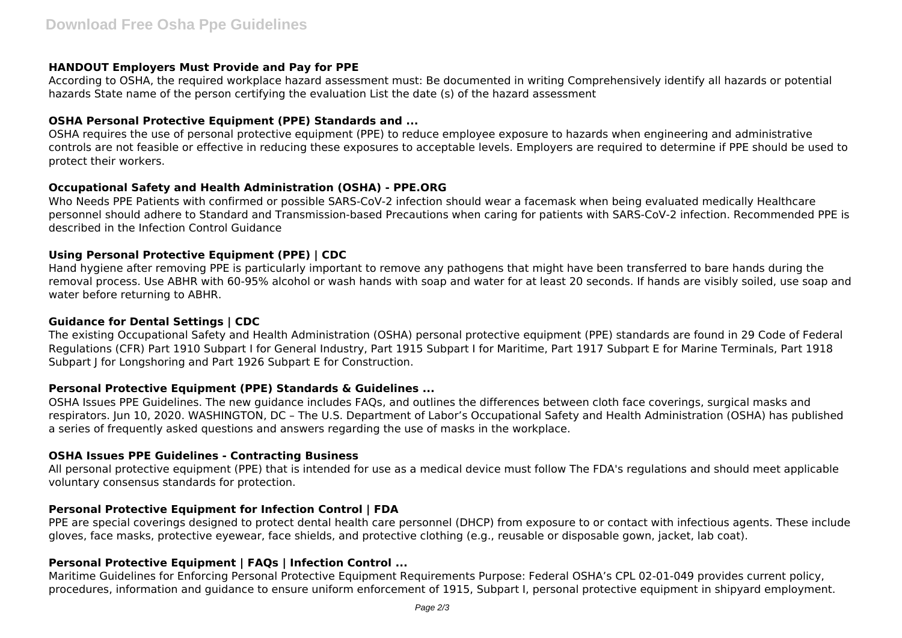## **HANDOUT Employers Must Provide and Pay for PPE**

According to OSHA, the required workplace hazard assessment must: Be documented in writing Comprehensively identify all hazards or potential hazards State name of the person certifying the evaluation List the date (s) of the hazard assessment

#### **OSHA Personal Protective Equipment (PPE) Standards and ...**

OSHA requires the use of personal protective equipment (PPE) to reduce employee exposure to hazards when engineering and administrative controls are not feasible or effective in reducing these exposures to acceptable levels. Employers are required to determine if PPE should be used to protect their workers.

## **Occupational Safety and Health Administration (OSHA) - PPE.ORG**

Who Needs PPE Patients with confirmed or possible SARS-CoV-2 infection should wear a facemask when being evaluated medically Healthcare personnel should adhere to Standard and Transmission-based Precautions when caring for patients with SARS-CoV-2 infection. Recommended PPE is described in the Infection Control Guidance

# **Using Personal Protective Equipment (PPE) | CDC**

Hand hygiene after removing PPE is particularly important to remove any pathogens that might have been transferred to bare hands during the removal process. Use ABHR with 60-95% alcohol or wash hands with soap and water for at least 20 seconds. If hands are visibly soiled, use soap and water before returning to ABHR.

#### **Guidance for Dental Settings | CDC**

The existing Occupational Safety and Health Administration (OSHA) personal protective equipment (PPE) standards are found in 29 Code of Federal Regulations (CFR) Part 1910 Subpart I for General Industry, Part 1915 Subpart I for Maritime, Part 1917 Subpart E for Marine Terminals, Part 1918 Subpart I for Longshoring and Part 1926 Subpart E for Construction.

# **Personal Protective Equipment (PPE) Standards & Guidelines ...**

OSHA Issues PPE Guidelines. The new guidance includes FAQs, and outlines the differences between cloth face coverings, surgical masks and respirators. Jun 10, 2020. WASHINGTON, DC – The U.S. Department of Labor's Occupational Safety and Health Administration (OSHA) has published a series of frequently asked questions and answers regarding the use of masks in the workplace.

# **OSHA Issues PPE Guidelines - Contracting Business**

All personal protective equipment (PPE) that is intended for use as a medical device must follow The FDA's regulations and should meet applicable voluntary consensus standards for protection.

#### **Personal Protective Equipment for Infection Control | FDA**

PPE are special coverings designed to protect dental health care personnel (DHCP) from exposure to or contact with infectious agents. These include gloves, face masks, protective eyewear, face shields, and protective clothing (e.g., reusable or disposable gown, jacket, lab coat).

# **Personal Protective Equipment | FAQs | Infection Control ...**

Maritime Guidelines for Enforcing Personal Protective Equipment Requirements Purpose: Federal OSHA's CPL 02-01-049 provides current policy, procedures, information and guidance to ensure uniform enforcement of 1915, Subpart I, personal protective equipment in shipyard employment.